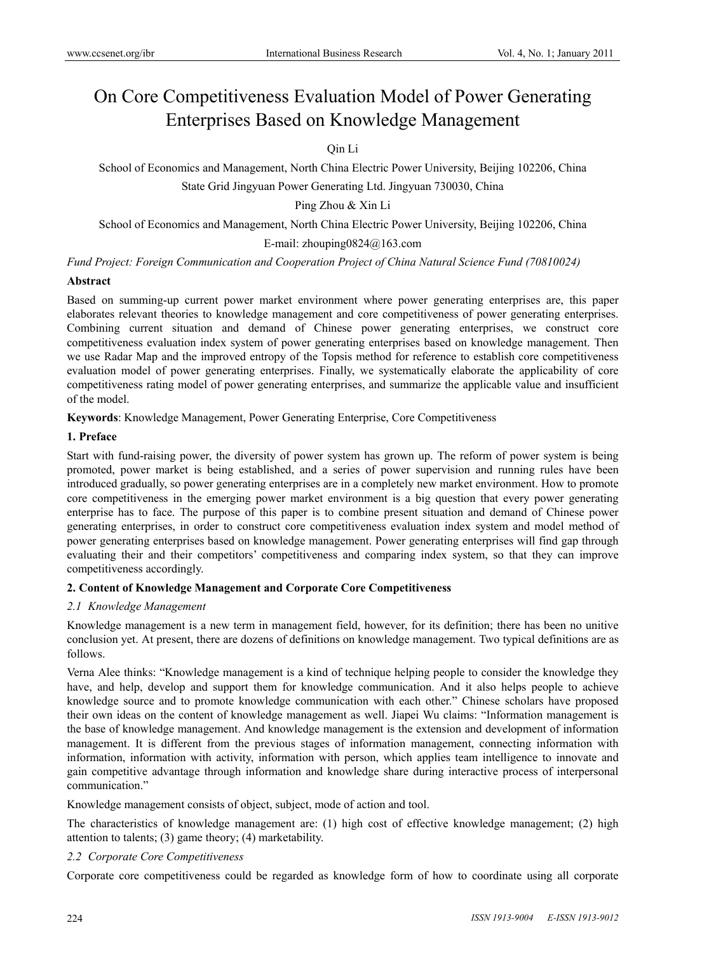# On Core Competitiveness Evaluation Model of Power Generating Enterprises Based on Knowledge Management

# Qin Li

School of Economics and Management, North China Electric Power University, Beijing 102206, China

State Grid Jingyuan Power Generating Ltd. Jingyuan 730030, China

Ping Zhou & Xin Li

School of Economics and Management, North China Electric Power University, Beijing 102206, China

E-mail: zhouping0824@163.com

*Fund Project: Foreign Communication and Cooperation Project of China Natural Science Fund (70810024)* 

### **Abstract**

Based on summing-up current power market environment where power generating enterprises are, this paper elaborates relevant theories to knowledge management and core competitiveness of power generating enterprises. Combining current situation and demand of Chinese power generating enterprises, we construct core competitiveness evaluation index system of power generating enterprises based on knowledge management. Then we use Radar Map and the improved entropy of the Topsis method for reference to establish core competitiveness evaluation model of power generating enterprises. Finally, we systematically elaborate the applicability of core competitiveness rating model of power generating enterprises, and summarize the applicable value and insufficient of the model.

**Keywords**: Knowledge Management, Power Generating Enterprise, Core Competitiveness

## **1. Preface**

Start with fund-raising power, the diversity of power system has grown up. The reform of power system is being promoted, power market is being established, and a series of power supervision and running rules have been introduced gradually, so power generating enterprises are in a completely new market environment. How to promote core competitiveness in the emerging power market environment is a big question that every power generating enterprise has to face. The purpose of this paper is to combine present situation and demand of Chinese power generating enterprises, in order to construct core competitiveness evaluation index system and model method of power generating enterprises based on knowledge management. Power generating enterprises will find gap through evaluating their and their competitors' competitiveness and comparing index system, so that they can improve competitiveness accordingly.

## **2. Content of Knowledge Management and Corporate Core Competitiveness**

### *2.1 Knowledge Management*

Knowledge management is a new term in management field, however, for its definition; there has been no unitive conclusion yet. At present, there are dozens of definitions on knowledge management. Two typical definitions are as follows.

Verna Alee thinks: "Knowledge management is a kind of technique helping people to consider the knowledge they have, and help, develop and support them for knowledge communication. And it also helps people to achieve knowledge source and to promote knowledge communication with each other." Chinese scholars have proposed their own ideas on the content of knowledge management as well. Jiapei Wu claims: "Information management is the base of knowledge management. And knowledge management is the extension and development of information management. It is different from the previous stages of information management, connecting information with information, information with activity, information with person, which applies team intelligence to innovate and gain competitive advantage through information and knowledge share during interactive process of interpersonal communication."

Knowledge management consists of object, subject, mode of action and tool.

The characteristics of knowledge management are: (1) high cost of effective knowledge management; (2) high attention to talents; (3) game theory; (4) marketability.

## *2.2 Corporate Core Competitiveness*

Corporate core competitiveness could be regarded as knowledge form of how to coordinate using all corporate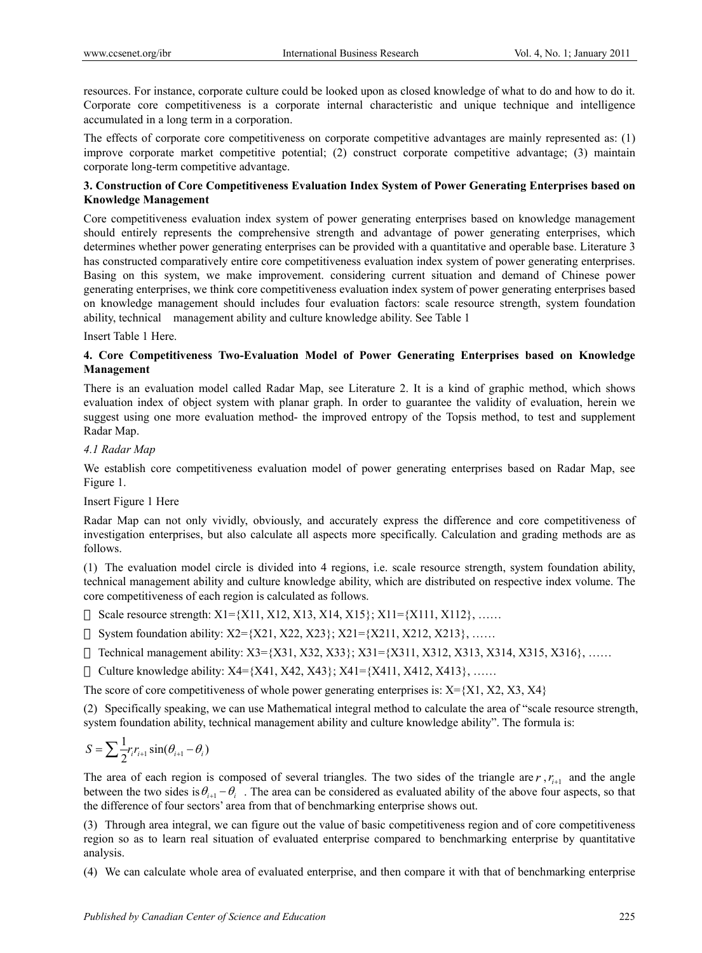resources. For instance, corporate culture could be looked upon as closed knowledge of what to do and how to do it. Corporate core competitiveness is a corporate internal characteristic and unique technique and intelligence accumulated in a long term in a corporation.

The effects of corporate core competitiveness on corporate competitive advantages are mainly represented as: (1) improve corporate market competitive potential; (2) construct corporate competitive advantage; (3) maintain corporate long-term competitive advantage.

# **3. Construction of Core Competitiveness Evaluation Index System of Power Generating Enterprises based on Knowledge Management**

Core competitiveness evaluation index system of power generating enterprises based on knowledge management should entirely represents the comprehensive strength and advantage of power generating enterprises, which determines whether power generating enterprises can be provided with a quantitative and operable base. Literature 3 has constructed comparatively entire core competitiveness evaluation index system of power generating enterprises. Basing on this system, we make improvement. considering current situation and demand of Chinese power generating enterprises, we think core competitiveness evaluation index system of power generating enterprises based on knowledge management should includes four evaluation factors: scale resource strength, system foundation ability, technical management ability and culture knowledge ability. See Table 1

Insert Table 1 Here.

## **4. Core Competitiveness Two-Evaluation Model of Power Generating Enterprises based on Knowledge Management**

There is an evaluation model called Radar Map, see Literature 2. It is a kind of graphic method, which shows evaluation index of object system with planar graph. In order to guarantee the validity of evaluation, herein we suggest using one more evaluation method- the improved entropy of the Topsis method, to test and supplement Radar Map.

## *4.1 Radar Map*

We establish core competitiveness evaluation model of power generating enterprises based on Radar Map, see Figure 1.

## Insert Figure 1 Here

Radar Map can not only vividly, obviously, and accurately express the difference and core competitiveness of investigation enterprises, but also calculate all aspects more specifically. Calculation and grading methods are as follows.

(1) The evaluation model circle is divided into 4 regions, i.e. scale resource strength, system foundation ability, technical management ability and culture knowledge ability, which are distributed on respective index volume. The core competitiveness of each region is calculated as follows.

Scale resource strength: X1={X11, X12, X13, X14, X15}; X11={X111, X112}, ……

System foundation ability:  $X2 = \{X21, X22, X23\}$ ;  $X21 = \{X211, X212, X213\}$ , ……

Technical management ability: X3={X31, X32, X33}; X31={X311, X312, X313, X314, X315, X316}, ……

Culture knowledge ability:  $X4 = \{X41, X42, X43\}$ ;  $X41 = \{X411, X412, X413\}$ , ……

The score of core competitiveness of whole power generating enterprises is:  $X = \{X1, X2, X3, X4\}$ 

(2) Specifically speaking, we can use Mathematical integral method to calculate the area of "scale resource strength, system foundation ability, technical management ability and culture knowledge ability". The formula is:

$$
S = \sum \frac{1}{2} r_i r_{i+1} \sin(\theta_{i+1} - \theta_i)
$$

The area of each region is composed of several triangles. The two sides of the triangle are  $r$ ,  $r_{i+1}$  and the angle between the two sides is  $\theta_{i+1} - \theta_i$ . The area can be considered as evaluated ability of the above four aspects, so that the difference of four sectors' area from that of benchmarking enterprise shows out.

(3) Through area integral, we can figure out the value of basic competitiveness region and of core competitiveness region so as to learn real situation of evaluated enterprise compared to benchmarking enterprise by quantitative analysis.

(4) We can calculate whole area of evaluated enterprise, and then compare it with that of benchmarking enterprise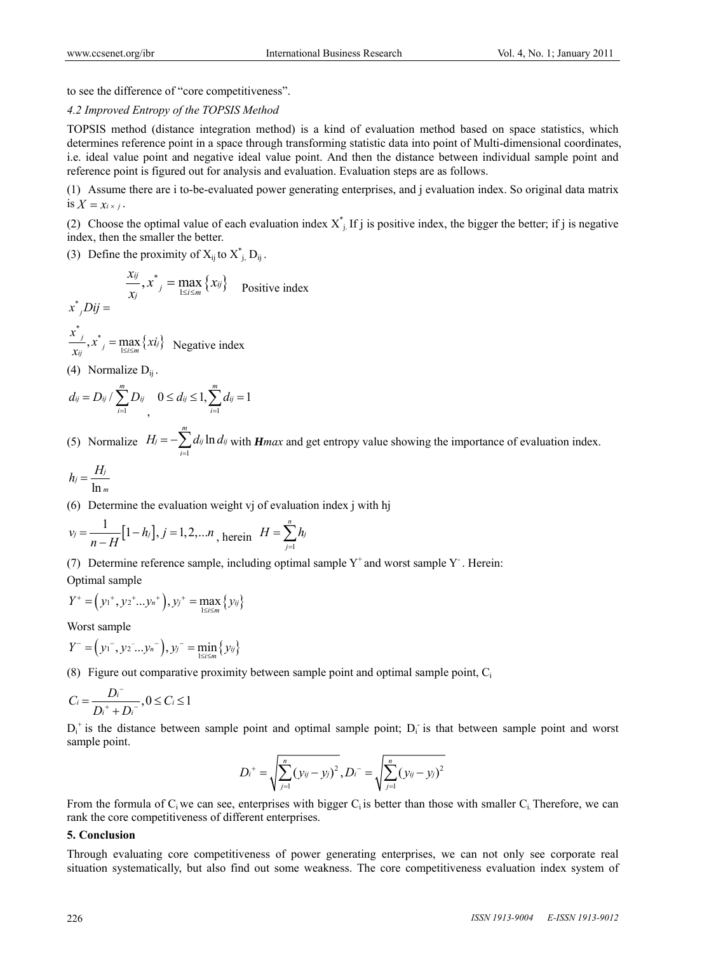to see the difference of "core competitiveness".

## *4.2 Improved Entropy of the TOPSIS Method*

TOPSIS method (distance integration method) is a kind of evaluation method based on space statistics, which determines reference point in a space through transforming statistic data into point of Multi-dimensional coordinates, i.e. ideal value point and negative ideal value point. And then the distance between individual sample point and reference point is figured out for analysis and evaluation. Evaluation steps are as follows.

(1) Assume there are i to-be-evaluated power generating enterprises, and j evaluation index. So original data matrix is  $X = x_i \times j$ .

(2) Choose the optimal value of each evaluation index  $X^*_{i}$ . If j is positive index, the bigger the better; if j is negative index, then the smaller the better.

(3) Define the proximity of  $X_{ij}$  to  $X_{j}^{*}$ ,  $D_{ij}$ .

$$
x^*_{j}Dij = \frac{x_{ij}}{x_j}, x^*_{j} = \max_{1 \le i \le m} \{x_{ij}\} \quad \text{Positive index}
$$

$$
\frac{x^*}{x_{ij}}, x^* = \max_{1 \le i \le m} \{xi\_{ij}\}
$$
 Negative index

(4) Normalize  $D_{ii}$ .

$$
d_{ij} = D_{ij} / \sum_{i=1}^{m} D_{ij} \quad 0 \le d_{ij} \le 1, \sum_{i=1}^{m} d_{ij} = 1
$$

(5) Normalize  $H_j = -\sum_{i=1}^{m} d_{ij} \ln \frac{m}{n}$  $j = -\sum d_{ij} \ln d_{ij}$ *i*  $H_j = -\sum d_{ij} \ln d$  $=-\sum_{i=1} d_{ij} \ln d_{ij}$  with *Hmax* and get entropy value showing the importance of evaluation index.

$$
h_j=\frac{H_j}{\ln m}
$$

(6) Determine the evaluation weight vj of evaluation index j with hj

$$
v_j = \frac{1}{n - H} [1 - h_j], j = 1, 2, \dots, n
$$
, herein  $H = \sum_{j=1}^{n} h_j$ 

(7) Determine reference sample, including optimal sample  $Y^+$  and worst sample  $Y^-$ . Herein:

Optimal sample

$$
Y^+ = (y_1^+, y_2^+... y_n^+), y_j^+ = \max_{1 \le i \le m} \{y_{ij}\}
$$

Worst sample

$$
Y^- = (\mathbf{y}_1^-,\mathbf{y}_2^-... \mathbf{y}_n^-), \mathbf{y}_j^- = \min_{1 \le i \le m} {\{y_{ij}\}}
$$

(8) Figure out comparative proximity between sample point and optimal sample point,  $C_i$ 

$$
C_i = \frac{D_i^-}{D_i^+ + D_i^-}, 0 \le C_i \le 1
$$

 $D_i^+$  is the distance between sample point and optimal sample point;  $D_i^-$  is that between sample point and worst sample point.

$$
D_i^+ = \sqrt{\sum_{j=1}^n (y_{ij} - y_j)^2}, D_i^- = \sqrt{\sum_{j=1}^n (y_{ij} - y_j)^2}
$$

From the formula of  $C_i$  we can see, enterprises with bigger  $C_i$  is better than those with smaller  $C_i$ . Therefore, we can rank the core competitiveness of different enterprises.

### **5. Conclusion**

Through evaluating core competitiveness of power generating enterprises, we can not only see corporate real situation systematically, but also find out some weakness. The core competitiveness evaluation index system of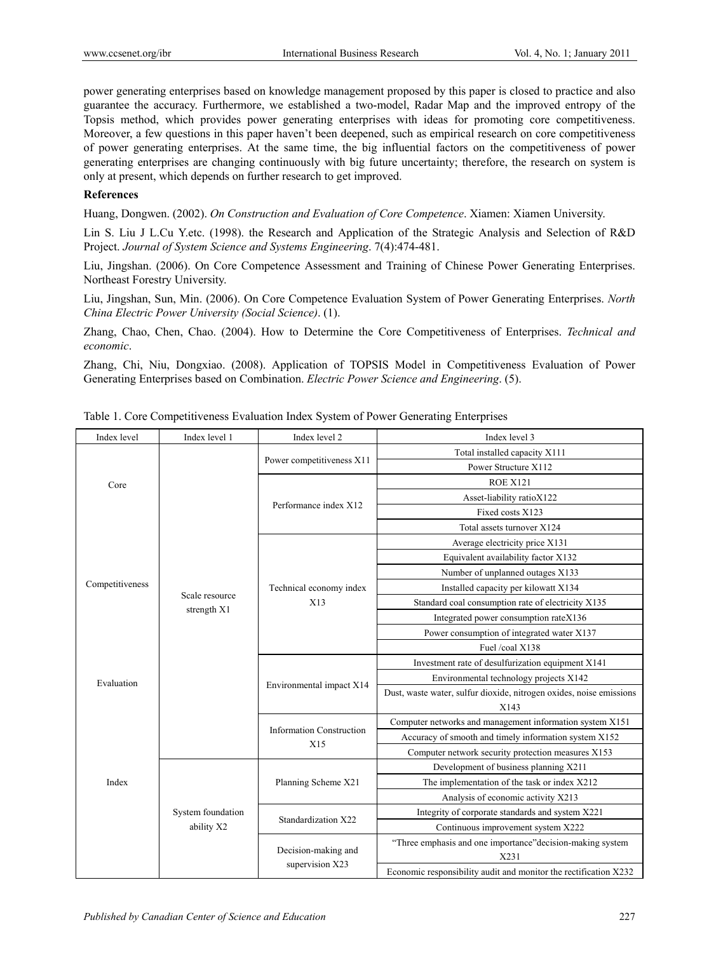power generating enterprises based on knowledge management proposed by this paper is closed to practice and also guarantee the accuracy. Furthermore, we established a two-model, Radar Map and the improved entropy of the Topsis method, which provides power generating enterprises with ideas for promoting core competitiveness. Moreover, a few questions in this paper haven't been deepened, such as empirical research on core competitiveness of power generating enterprises. At the same time, the big influential factors on the competitiveness of power generating enterprises are changing continuously with big future uncertainty; therefore, the research on system is only at present, which depends on further research to get improved.

## **References**

Huang, Dongwen. (2002). *On Construction and Evaluation of Core Competence*. Xiamen: Xiamen University.

Lin S. Liu J L.Cu Y.etc. (1998). the Research and Application of the Strategic Analysis and Selection of R&D Project. *Journal of System Science and Systems Engineering*. 7(4):474-481.

Liu, Jingshan. (2006). On Core Competence Assessment and Training of Chinese Power Generating Enterprises. Northeast Forestry University.

Liu, Jingshan, Sun, Min. (2006). On Core Competence Evaluation System of Power Generating Enterprises. *North China Electric Power University (Social Science)*. (1).

Zhang, Chao, Chen, Chao. (2004). How to Determine the Core Competitiveness of Enterprises. *Technical and economic*.

Zhang, Chi, Niu, Dongxiao. (2008). Application of TOPSIS Model in Competitiveness Evaluation of Power Generating Enterprises based on Combination. *Electric Power Science and Engineering*. (5).

| Index level                           | Index level 1                   | Index level 2                          | Index level 3                                                       |
|---------------------------------------|---------------------------------|----------------------------------------|---------------------------------------------------------------------|
| Core<br>Competitiveness<br>Evaluation | Scale resource<br>strength X1   | Power competitiveness X11              | Total installed capacity X111                                       |
|                                       |                                 |                                        | Power Structure X112                                                |
|                                       |                                 | Performance index X12                  | <b>ROE X121</b>                                                     |
|                                       |                                 |                                        | Asset-liability ratioX122                                           |
|                                       |                                 |                                        | Fixed costs X123                                                    |
|                                       |                                 |                                        | Total assets turnover X124                                          |
|                                       |                                 | Technical economy index<br>X13         | Average electricity price X131                                      |
|                                       |                                 |                                        | Equivalent availability factor X132                                 |
|                                       |                                 |                                        | Number of unplanned outages X133                                    |
|                                       |                                 |                                        | Installed capacity per kilowatt X134                                |
|                                       |                                 |                                        | Standard coal consumption rate of electricity X135                  |
|                                       |                                 |                                        | Integrated power consumption rateX136                               |
|                                       |                                 |                                        | Power consumption of integrated water X137                          |
|                                       |                                 |                                        | Fuel /coal X138                                                     |
|                                       |                                 | Environmental impact X14               | Investment rate of desulfurization equipment X141                   |
|                                       |                                 |                                        | Environmental technology projects X142                              |
|                                       |                                 |                                        | Dust, waste water, sulfur dioxide, nitrogen oxides, noise emissions |
|                                       |                                 |                                        | X143                                                                |
|                                       |                                 | <b>Information Construction</b><br>X15 | Computer networks and management information system X151            |
|                                       |                                 |                                        | Accuracy of smooth and timely information system X152               |
|                                       |                                 |                                        | Computer network security protection measures X153                  |
| Index                                 | System foundation<br>ability X2 | Planning Scheme X21                    | Development of business planning X211                               |
|                                       |                                 |                                        | The implementation of the task or index X212                        |
|                                       |                                 |                                        | Analysis of economic activity X213                                  |
|                                       |                                 | Standardization X22                    | Integrity of corporate standards and system X221                    |
|                                       |                                 |                                        | Continuous improvement system X222                                  |
|                                       |                                 | Decision-making and<br>supervision X23 | "Three emphasis and one importance" decision-making system<br>X231  |
|                                       |                                 |                                        | Economic responsibility audit and monitor the rectification X232    |

Table 1. Core Competitiveness Evaluation Index System of Power Generating Enterprises